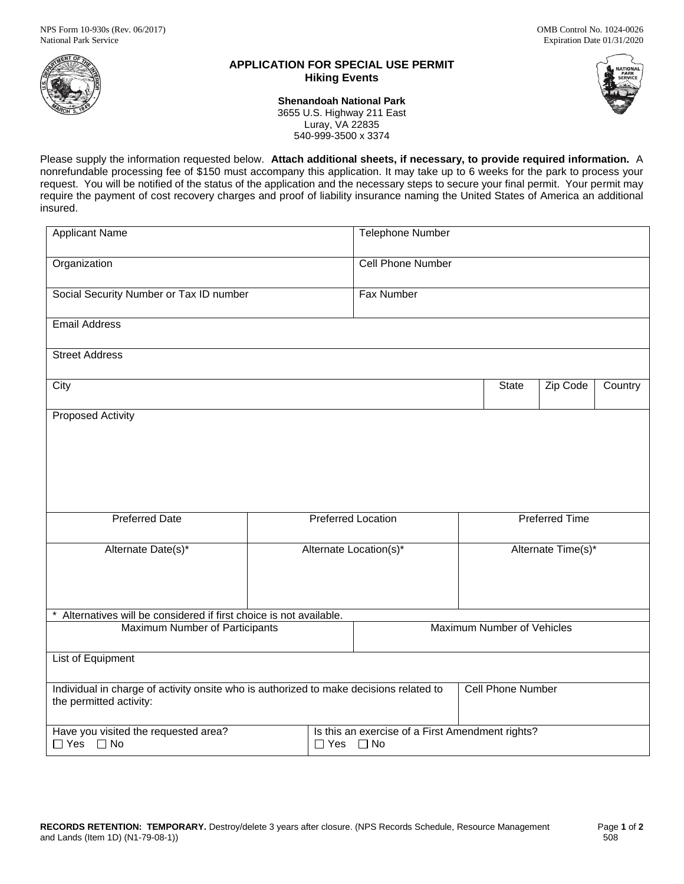

# **APPLICATION FOR SPECIAL USE PERMIT Hiking Events**



**Shenandoah National Park** 3655 U.S. Highway 211 East Luray, VA 22835 540-999-3500 x 3374

Please supply the information requested below. **Attach additional sheets, if necessary, to provide required information.** A nonrefundable processing fee of \$150 must accompany this application. It may take up to 6 weeks for the park to process your request. You will be notified of the status of the application and the necessary steps to secure your final permit. Your permit may require the payment of cost recovery charges and proof of liability insurance naming the United States of America an additional insured.

| <b>Applicant Name</b>                                                                                             |                           |                          | <b>Telephone Number</b>                                                  |                       |                    |          |         |  |
|-------------------------------------------------------------------------------------------------------------------|---------------------------|--------------------------|--------------------------------------------------------------------------|-----------------------|--------------------|----------|---------|--|
| Organization                                                                                                      |                           |                          | Cell Phone Number                                                        |                       |                    |          |         |  |
| Social Security Number or Tax ID number                                                                           |                           |                          | Fax Number                                                               |                       |                    |          |         |  |
| <b>Email Address</b>                                                                                              |                           |                          |                                                                          |                       |                    |          |         |  |
| <b>Street Address</b>                                                                                             |                           |                          |                                                                          |                       |                    |          |         |  |
| City                                                                                                              |                           |                          |                                                                          |                       | State              | Zip Code | Country |  |
| <b>Proposed Activity</b>                                                                                          |                           |                          |                                                                          |                       |                    |          |         |  |
| <b>Preferred Date</b>                                                                                             | <b>Preferred Location</b> |                          |                                                                          | <b>Preferred Time</b> |                    |          |         |  |
| Alternate Date(s)*                                                                                                | Alternate Location(s)*    |                          |                                                                          |                       | Alternate Time(s)* |          |         |  |
| Alternatives will be considered if first choice is not available.                                                 |                           |                          |                                                                          |                       |                    |          |         |  |
| Maximum Number of Participants                                                                                    |                           |                          | Maximum Number of Vehicles                                               |                       |                    |          |         |  |
| <b>List of Equipment</b>                                                                                          |                           |                          |                                                                          |                       |                    |          |         |  |
| Individual in charge of activity onsite who is authorized to make decisions related to<br>the permitted activity: |                           | <b>Cell Phone Number</b> |                                                                          |                       |                    |          |         |  |
| Have you visited the requested area?<br>$\Box$ Yes $\Box$ No                                                      |                           |                          | Is this an exercise of a First Amendment rights?<br>$\Box$ Yes $\Box$ No |                       |                    |          |         |  |